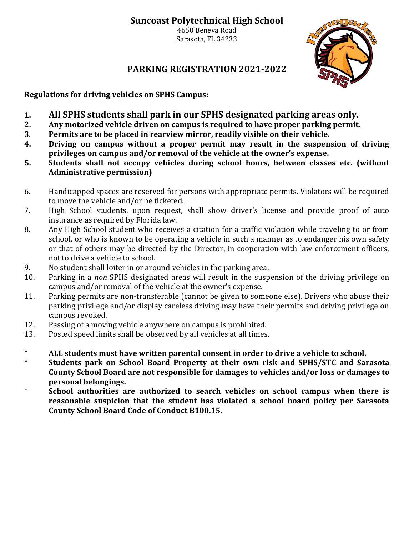## **Suncoast Polytechnical High School**

4650 Beneva Road Sarasota, FL 34233



## **PARKING REGISTRATION 2021-2022**

**Regulations for driving vehicles on SPHS Campus:**

- **1. All SPHS students shall park in our SPHS designated parking areas only.**
- **2. Any motorized vehicle driven on campus is required to have proper parking permit.**
- **3**. **Permits are to be placed in rearview mirror, readily visible on their vehicle.**
- **4. Driving on campus without a proper permit may result in the suspension of driving privileges on campus and/or removal of the vehicle at the owner's expense.**
- **5. Students shall not occupy vehicles during school hours, between classes etc. (without Administrative permission)**
- 6. Handicapped spaces are reserved for persons with appropriate permits. Violators will be required to move the vehicle and/or be ticketed.
- 7. High School students, upon request, shall show driver's license and provide proof of auto insurance as required by Florida law.
- 8. Any High School student who receives a citation for a traffic violation while traveling to or from school, or who is known to be operating a vehicle in such a manner as to endanger his own safety or that of others may be directed by the Director, in cooperation with law enforcement officers, not to drive a vehicle to school.
- 9. No student shall loiter in or around vehicles in the parking area.
- 10. Parking in a *non* SPHS designated areas will result in the suspension of the driving privilege on campus and/or removal of the vehicle at the owner's expense.
- 11. Parking permits are non-transferable (cannot be given to someone else). Drivers who abuse their parking privilege and/or display careless driving may have their permits and driving privilege on campus revoked.
- 12. Passing of a moving vehicle anywhere on campus is prohibited.
- 13. Posted speed limits shall be observed by all vehicles at all times.
- \* **ALL students must have written parental consent in order to drive a vehicle to school.**
- \* **Students park on School Board Property at their own risk and SPHS/STC and Sarasota County School Board are not responsible for damages to vehicles and/or loss or damages to personal belongings.**
- \* **School authorities are authorized to search vehicles on school campus when there is reasonable suspicion that the student has violated a school board policy per Sarasota County School Board Code of Conduct B100.15.**